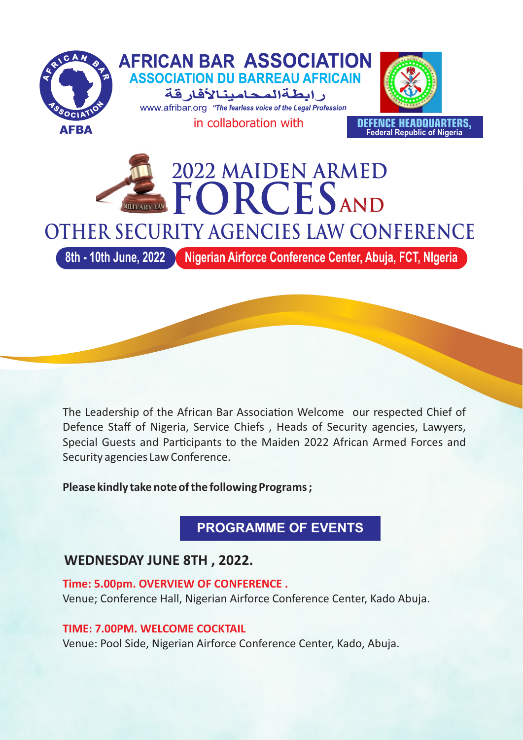

The Leadership of the African Bar Association Welcome our respected Chief of Defence Staff of Nigeria, Service Chiefs , Heads of Security agencies, Lawyers, Special Guests and Participants to the Maiden 2022 African Armed Forces and Security agencies Law Conference.

**Please kindly take note of the following Programs ;**

**PROGRAMME OF EVENTS**

# **WEDNESDAY JUNE 8TH , 2022.**

**Time: 5.00pm. OVERVIEW OF CONFERENCE .** Venue; Conference Hall, Nigerian Airforce Conference Center, Kado Abuja.

**TIME: 7.00PM. WELCOME COCKTAIL**

Venue: Pool Side, Nigerian Airforce Conference Center, Kado, Abuja.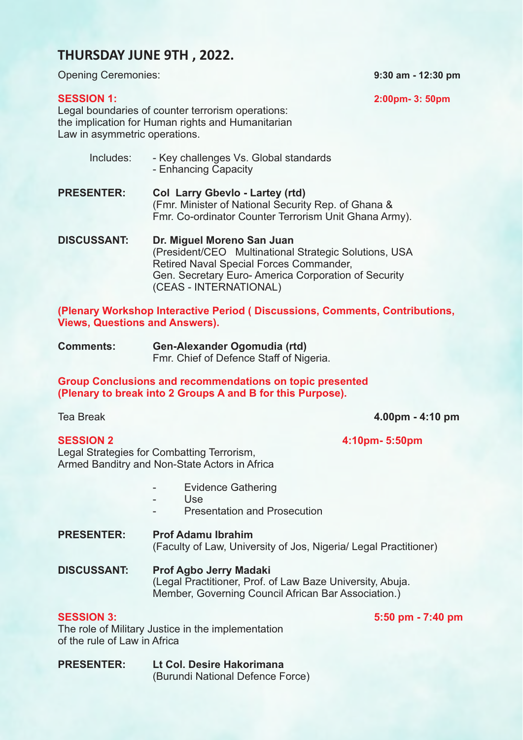## **THURSDAY JUNE 9TH , 2022.**

Opening Ceremonies: **9:30 am - 12:30 pm**

**SESSION 1: 2:00pm- 3: 50pm**

Legal boundaries of counter terrorism operations: the implication for Human rights and Humanitarian Law in asymmetric operations.

- Includes: Key challenges Vs. Global standards - Enhancing Capacity **PRESENTER: Col Larry Gbevlo - Lartey (rtd)**  (Fmr. Minister of National Security Rep. of Ghana & Fmr. Co-ordinator Counter Terrorism Unit Ghana Army).
- **DISCUSSANT: Dr. Miguel Moreno San Juan**  (President/CEO Multinational Strategic Solutions, USA Retired Naval Special Forces Commander, Gen. Secretary Euro- America Corporation of Security (CEAS - INTERNATIONAL)

**(Plenary Workshop Interactive Period ( Discussions, Comments, Contributions, Views, Questions and Answers).**

**Comments: Gen-Alexander Ogomudia (rtd)**  Fmr. Chief of Defence Staff of Nigeria.

**Group Conclusions and recommendations on topic presented (Plenary to break into 2 Groups A and B for this Purpose).**

Tea Break **4.00pm - 4:10 pm**

**SESSION 2 4:10pm- 5:50pm**

Legal Strategies for Combatting Terrorism, Armed Banditry and Non-State Actors in Africa

- Evidence Gathering
- $I \leq \alpha$
- Presentation and Prosecution

**PRESENTER: Prof Adamu Ibrahim**  (Faculty of Law, University of Jos, Nigeria/ Legal Practitioner)

**DISCUSSANT: Prof Agbo Jerry Madaki** (Legal Practitioner, Prof. of Law Baze University, Abuja. Member, Governing Council African Bar Association.)

### **SESSION 3: 5:50 pm - 7:40 pm**

The role of Military Justice in the implementation of the rule of Law in Africa

**PRESENTER: Lt Col. Desire Hakorimana** (Burundi National Defence Force)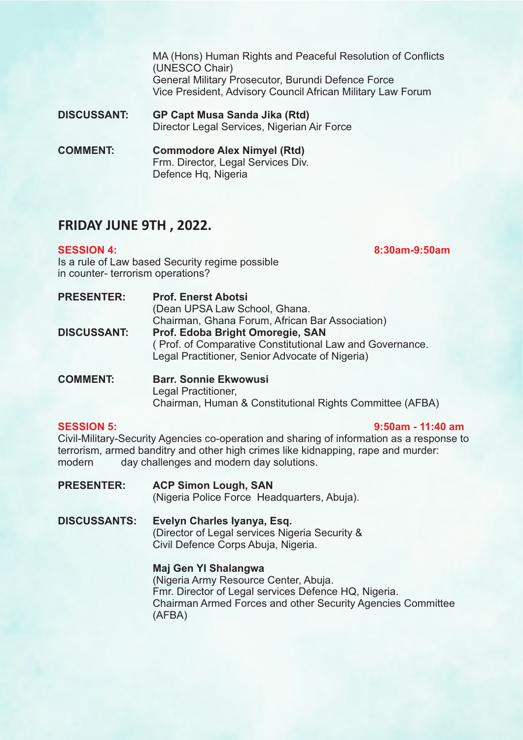MA (Hons) Human Rights and Peaceful Resolution of Conflicts (UNESCO Chair) General Military Prosecutor, Burundi Defence Force Vice President, Advisory Council African Military Law Forum

**DISCUSSANT: GP Capt Musa Sanda Jika (Rtd)** Director Legal Services, Nigerian Air Force

**COMMENT: Commodore Alex Nimyel (Rtd)** Frm. Director, Legal Services Div. Defence Hq, Nigeria

## **FRIDAY JUNE 9TH , 2022.**

**SESSION 4: 8:30am-9:50am**

Is a rule of Law based Security regime possible in counter- terrorism operations?

| <b>Prof. Enerst Abotsi</b><br>(Dean UPSA Law School, Ghana.                                                 |
|-------------------------------------------------------------------------------------------------------------|
|                                                                                                             |
| Chairman, Ghana Forum, African Bar Association)                                                             |
| Prof. Edoba Bright Omoregie, SAN                                                                            |
| (Prof. of Comparative Constitutional Law and Governance.<br>Legal Practitioner, Senior Advocate of Nigeria) |
|                                                                                                             |

**COMMENT: Barr. Sonnie Ekwowusi** Legal Practitioner, Chairman, Human & Constitutional Rights Committee (AFBA)

### **SESSION 5: 9:50am - 11:40 am**

Civil-Military-Security Agencies co-operation and sharing of information as a response to terrorism, armed banditry and other high crimes like kidnapping, rape and murder: modern day challenges and modern day solutions.

- **PRESENTER: ACP Simon Lough, SAN**  (Nigeria Police Force Headquarters, Abuja).
- **DISCUSSANTS: Evelyn Charles Iyanya, Esq.** (Director of Legal services Nigeria Security & Civil Defence Corps Abuja, Nigeria.

## **Maj Gen YI Shalangwa**

(Nigeria Army Resource Center, Abuja. Fmr. Director of Legal services Defence HQ, Nigeria. Chairman Armed Forces and other Security Agencies Committee (AFBA)